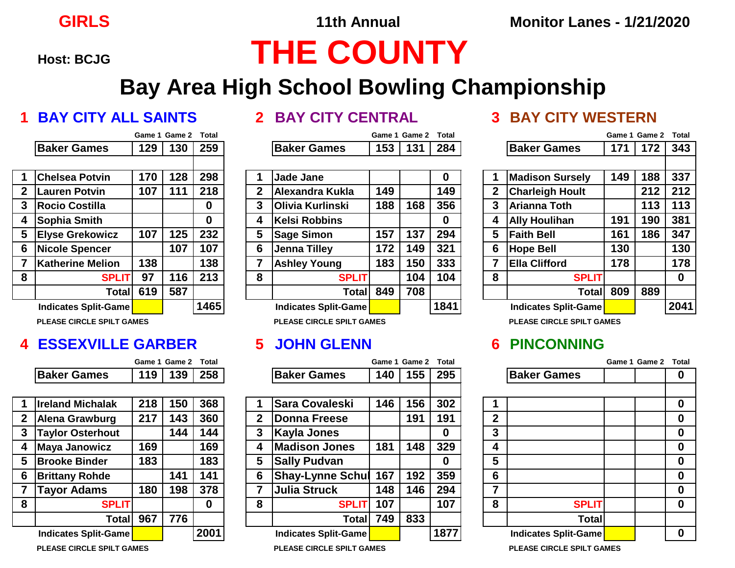# **Host: BCJG THE COUNTY**

## **Bay Area High School Bowling Championship**

|                |                             | Game 1 | <b>Game 2</b> | Total |
|----------------|-----------------------------|--------|---------------|-------|
|                | <b>Baker Games</b>          | 129    | 130           | 259   |
|                |                             |        |               |       |
| 1              | <b>Chelsea Potvin</b>       | 170    | 128           | 298   |
| $\overline{2}$ | <b>Lauren Potvin</b>        | 107    | 111           | 218   |
| 3              | <b>Rocio Costilla</b>       |        |               | 0     |
| 4              | Sophia Smith                |        |               | 0     |
| 5              | <b>Elyse Grekowicz</b>      | 107    | 125           | 232   |
| 6              | <b>Nicole Spencer</b>       |        | 107           | 107   |
| $\overline{7}$ | <b>Katherine Melion</b>     | 138    |               | 138   |
| 8              | <b>SPLIT</b>                | 97     | 116           | 213   |
|                | <b>Total</b>                | 619    | 587           |       |
|                | <b>Indicates Split-Game</b> |        |               | 1465  |

### **4 ESSEXVILLE GARBER 5 JOHN GLENN 6 PINCONNING**

|             | Game 1 Game 2 Total  |  |
|-------------|----------------------|--|
| Baker Games | $\sqrt{119}$ 139 258 |  |

| 1              | <b>Ireland Michalak</b> | 218 | 150 | 368  |
|----------------|-------------------------|-----|-----|------|
| $\overline{2}$ | <b>Alena Grawburg</b>   | 217 | 143 | 360  |
| 3              | <b>Taylor Osterhout</b> |     | 144 | 144  |
| 4              | <b>Maya Janowicz</b>    | 169 |     | 169  |
| 5              | <b>Brooke Binder</b>    | 183 |     | 183  |
| 6              | <b>Brittany Rohde</b>   |     | 141 | 141  |
| $\overline{7}$ | <b>Tayor Adams</b>      | 180 | 198 | 378  |
| 8              | <b>SPLIT</b>            |     |     |      |
|                | <b>Total</b>            | 967 | 776 |      |
|                | Indicates Split-Game    |     |     | 2001 |

|   |                         |     | Game 1 Game 2 Total |     |
|---|-------------------------|-----|---------------------|-----|
|   | <b>Baker Games</b>      | 153 | 131                 | 284 |
|   |                         |     |                     |     |
|   | <b>Jade Jane</b>        |     |                     |     |
| 2 | Alexandra Kukla         | 149 |                     | 149 |
| 3 | <b>Olivia Kurlinski</b> | 188 | 168                 | 356 |
| 1 | <b>Kelsi Robbins</b>    |     |                     |     |

|             | ווויוטוס הייטורי        | I I V | I LU.        | 230  |   | Dauc Janc               |     |     | v    |   | <b>MAUSUL JULSEIV</b>  | I TJ | טטו | JJ 1     |
|-------------|-------------------------|-------|--------------|------|---|-------------------------|-----|-----|------|---|------------------------|------|-----|----------|
| $\mathbf 2$ | Lauren Potvin           | 107   | $11^{\circ}$ | 218  | 2 | Alexandra Kukla         | 149 |     | 149  |   | <b>Charleigh Hoult</b> |      | 212 | 212      |
| 2           | <b>Rocio Costilla</b>   |       |              |      | 3 | <b>Olivia Kurlinski</b> | 188 | 168 | 356  | ≏ | <b>Arianna Toth</b>    |      | 113 | 113      |
| 4           | Sophia Smith            |       |              |      | 4 | Kelsi Robbins           |     |     |      |   | <b>Ally Houlihan</b>   | 191  | 190 | 381      |
|             | <b>Elyse Grekowicz</b>  | 107   | 125          | 232  | 5 | <b>Sage Simon</b>       | 157 | 137 | 294  | 5 | <b>Faith Bell</b>      | 161  | 186 | 347      |
|             | Nicole Spencer          |       | 107          | 107  | 6 | Jenna Tilley            | 172 | 149 | 321  |   | <b>Hope Bell</b>       | 130  |     | 130      |
|             | <b>Katherine Melion</b> | 138   |              | 138  |   | <b>Ashley Young</b>     | 183 | 150 | 333  |   | <b>Ella Clifford</b>   | 178  |     | 178      |
| 8           | <b>SPLIT</b>            | 97    | 116          | 213  | 8 | <b>SPLIT</b>            |     | 104 | 104  | 8 | <b>SPLIT</b>           |      |     | $\bf{0}$ |
|             | Total                   | 619   | 587          |      |   | Totall                  | 849 | 708 |      |   | <b>Total</b>           | 809  | 889 |          |
|             | Indicates Split-Game    |       |              | 1465 |   | Indicates Split-Game    |     |     | 1841 |   | Indicates Split-Game   |      |     | 204'     |
|             |                         |       |              |      |   |                         |     |     |      |   |                        |      |     |          |

|             |                                    |     | Game 1 Game 2 | <b>Total</b> |             |                              |     | Game 1 Game 2 | <b>Total</b> |              |                              | Game 1 Game 2 | Total       |
|-------------|------------------------------------|-----|---------------|--------------|-------------|------------------------------|-----|---------------|--------------|--------------|------------------------------|---------------|-------------|
|             | <b>Baker Games</b>                 | 119 | 139           | 258          |             | <b>Baker Games</b>           | 140 | 155           | 295          |              | <b>Baker Games</b>           |               | $\bf{0}$    |
|             |                                    |     |               |              |             |                              |     |               |              |              |                              |               |             |
|             | <b>Ireland Michalak</b>            | 218 | 150           | 368          |             | <b>Sara Covaleski</b>        | 146 | 156           | 302          |              |                              |               | $\mathbf 0$ |
| $\mathbf 2$ | Alena Grawburg                     | 217 | 143           | 360          | $\mathbf 2$ | <b>Donna Freese</b>          |     | 191           | 191          | $\mathbf{2}$ |                              |               | $\mathbf 0$ |
| 3           | <b>Taylor Osterhout</b>            |     | 144           | 144          | 3           | Kayla Jones                  |     |               | 0            | 3            |                              |               | $\mathbf 0$ |
| 4           | Maya Janowicz                      | 169 |               | 169          | 4           | <b>Madison Jones</b>         | 181 | 148           | 329          | 4            |                              |               | $\mathbf 0$ |
| 5           | <b>Brooke Binder</b>               | 183 |               | 183          | 5           | <b>Sally Pudvan</b>          |     |               | 0            | 5            |                              |               | $\bf{0}$    |
| 6           | <b>Brittany Rohde</b>              |     | 141           | 141          | 6           | <b>Shay-Lynne Schul</b>      | 167 | 192           | 359          | 6            |                              |               | $\mathbf 0$ |
|             | <b>Tayor Adams</b>                 | 180 | 198           | 378          |             | Julia Struck                 | 148 | 146           | 294          | 7            |                              |               | $\bf{0}$    |
| 8           | <b>SPLIT</b>                       |     |               | 0            | 8           | <b>SPLIT</b>                 | 107 |               | 107          | 8            | <b>SPLIT</b>                 |               | $\mathbf 0$ |
|             | <b>Total</b>                       | 967 | 776           |              |             | Totall                       | 749 | 833           |              |              | <b>Total</b>                 |               |             |
|             | <b>Indicates Split-Game</b>        |     |               | 2001         |             | Indicates Split-Game         |     |               | 1877         |              | <b>Indicates Split-Game</b>  |               | $\bf{0}$    |
|             | <b>DLEAGE OIR OLE ORLL T GAMES</b> |     |               |              |             | DLEAGE AIR ALE ARILE A ANIEA |     |               |              |              | DLEAGE AIR ALE ARILE A ANIES |               |             |

### **1 BAY CITY ALL SAINTS 2 BAY CITY CENTRAL 3 BAY CITY WESTERN**

|    |                                  |     | Game 1 Game 2 | <b>Total</b> |   |                                  |     | Game 1 Game 2 | <b>Total</b> |              |                                  |     | Game 1 Game 2 | Total    |
|----|----------------------------------|-----|---------------|--------------|---|----------------------------------|-----|---------------|--------------|--------------|----------------------------------|-----|---------------|----------|
|    | <b>Baker Games</b>               | 129 | 130           | 259          |   | <b>Baker Games</b>               | 153 | 131           | 284          |              | <b>Baker Games</b>               | 171 | 172           | 343      |
|    | <b>Chelsea Potvin</b>            | 170 | 128           | 298          |   |                                  |     |               |              |              |                                  | 149 | 188           | 337      |
|    |                                  |     |               |              |   | <b>Jade Jane</b>                 |     |               | $\mathbf 0$  |              | <b>Madison Sursely</b>           |     |               |          |
| 2  | <b>Lauren Potvin</b>             | 107 |               | 218          | 2 | Alexandra Kukla                  | 149 |               | 149          | $\mathbf{2}$ | <b>Charleigh Hoult</b>           |     | 212           | 212      |
|    | Rocio Costilla                   |     |               | 0            | 3 | <b>IOlivia Kurlinski</b>         | 188 | 168           | 356          | 3            | <b>Arianna Toth</b>              |     | 113           | 113      |
| 4  | Sophia Smith                     |     |               | 0            | 4 | Kelsi Robbins                    |     |               | 0            | 4            | <b>Ally Houlihan</b>             | 191 | 190           | 381      |
| 5. | <b>Elyse Grekowicz</b>           | 107 | 125           | 232          | 5 | Sage Simon                       | 157 | 137           | 294          | 5            | <b>Faith Bell</b>                | 161 | 186           | 347      |
| 6  | Nicole Spencer                   |     | 107           | 107          | 6 | Jenna Tilley                     | 172 | 149           | 321          | 6            | <b>Hope Bell</b>                 | 130 |               | 130      |
|    | <b>Katherine Melion</b>          | 138 |               | 138          |   | <b>Ashley Young</b>              | 183 | 150           | 333          | 7            | <b>Ella Clifford</b>             | 178 |               | 178      |
| 8  | <b>SPLIT</b>                     | 97  | 116           | 213          | 8 | <b>SPLIT</b>                     |     | 104           | 104          | 8            | <b>SPLIT</b>                     |     |               | $\bf{0}$ |
|    | Totall                           | 619 | 587           |              |   | <b>Total</b>                     | 849 | 708           |              |              | <b>Total</b>                     | 809 | 889           |          |
|    | Indicates Split-Game             |     |               | 1465         |   | <b>Indicates Split-Game</b>      |     |               | 1841         |              | <b>Indicates Split-Game</b>      |     |               | 2041     |
|    | <b>PLEASE CIRCLE SPILT GAMES</b> |     |               |              |   | <b>PLEASE CIRCLE SPILT GAMES</b> |     |               |              |              | <b>PLEASE CIRCLE SPILT GAMES</b> |     |               |          |

|                         |                               | Game 1 Game 2 Total |   |
|-------------------------|-------------------------------|---------------------|---|
|                         | <b>Baker Games</b>            |                     | Ω |
|                         |                               |                     |   |
| 1                       |                               |                     | 0 |
| $\boldsymbol{2}$        |                               |                     | 0 |
| $\overline{\mathbf{3}}$ |                               |                     | 0 |
| $\overline{\mathbf{4}}$ |                               |                     | 0 |
| 5                       |                               |                     | 0 |
| $6\phantom{1}6$         |                               |                     | 0 |
| $\overline{7}$          |                               |                     | 0 |
| 8                       | <b>SPLIT</b>                  |                     | 0 |
|                         | <b>Total</b>                  |                     |   |
|                         | <b>Indicates Split-Game</b>   |                     |   |
|                         | - - - - - - - - - - - - - - - |                     |   |

**PLEASE CIRCLE SPILT GAMES PLEASE CIRCLE SPILT GAMES PLEASE CIRCLE SPILT GAMES**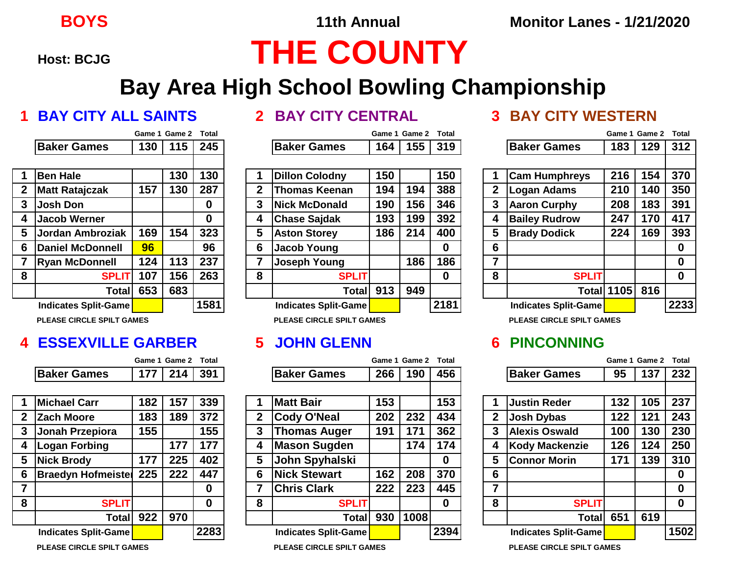# **Host: BCJG THE COUNTY**

## **Bay Area High School Bowling Championship**

### **1 BAY CITY ALL SAINTS 2 BAY CITY CENTRAL 3 BAY CITY WESTERN**

|                  |                             |     | Game 1 Game 2 | Total |
|------------------|-----------------------------|-----|---------------|-------|
|                  | <b>Baker Games</b>          | 130 | 115           | 245   |
|                  |                             |     |               |       |
| 1                | <b>Ben Hale</b>             |     | 130           | 130   |
| $\boldsymbol{2}$ | <b>Matt Ratajczak</b>       | 157 | 130           | 287   |
| 3                | <b>Josh Don</b>             |     |               | 0     |
| 4                | <b>Jacob Werner</b>         |     |               | 0     |
| 5                | Jordan Ambroziak            | 169 | 154           | 323   |
| 6                | <b>Daniel McDonnell</b>     | 96  |               | 96    |
| $\overline{7}$   | <b>Ryan McDonnell</b>       | 124 | 113           | 237   |
| 8                | <b>SPLIT</b>                | 107 | 156           | 263   |
|                  | <b>Total</b>                | 653 | 683           |       |
|                  | <b>Indicates Split-Game</b> |     |               | 1581  |

**PLEASE CIRCLE SPILT GAMES PLEASE CIRCLE SPILT GAMES PLEASE CIRCLE SPILT GAMES**

### **4 ESSEXVILLE GARBER 5 JOHN GLENN 6 PINCONNING**

|                    | Game 1 Game 2 Total |  |
|--------------------|---------------------|--|
| <b>Baker Games</b> | 177 214 391         |  |

| 1              | <b>Michael Carr</b>       | 182 | 157 | 339  |
|----------------|---------------------------|-----|-----|------|
| $\overline{2}$ | <b>Zach Moore</b>         | 183 | 189 | 372  |
| 3              | Jonah Przepiora           | 155 |     | 155  |
| 4              | <b>Logan Forbing</b>      |     | 177 | 177  |
| 5              | <b>Nick Brody</b>         | 177 | 225 | 402  |
| 6              | <b>Braedyn Hofmeister</b> | 225 | 222 | 447  |
| 7              |                           |     |     | 0    |
| 8              | <b>SPLIT</b>              |     |     | 0    |
|                | Total                     | 922 | 970 |      |
|                | Indicates Split-Game      |     |     | 2283 |
|                |                           |     |     |      |

|   |                              |     | Game 1 Game 2 | Total    |              |                              |     | Game 1 Game 2 | <b>Total</b> |   |                              | Game 1 Game 2     |     | Total |
|---|------------------------------|-----|---------------|----------|--------------|------------------------------|-----|---------------|--------------|---|------------------------------|-------------------|-----|-------|
|   | <b>Baker Games</b>           | 130 | 115           | 245      |              | <b>Baker Games</b>           | 164 | 155           | 319          |   | <b>Baker Games</b>           | 183               | 129 | 312   |
|   |                              |     |               |          |              |                              |     |               |              |   |                              |                   |     |       |
|   | <b>Ben Hale</b>              |     | 130           | 130      |              | <b>Dillon Colodny</b>        | 150 |               | 150          |   | <b>Cam Humphreys</b>         | 216               | 154 | 370   |
| 2 | <b>Matt Ratajczak</b>        | 157 | 130           | 287      | $\mathbf{2}$ | <b>Thomas Keenan</b>         | 194 | 194           | 388          | 2 | <b>Logan Adams</b>           | 210               | 140 | 350   |
| 3 | Josh Don                     |     |               | $\bf{0}$ | 3            | <b>Nick McDonald</b>         | 190 | 156           | 346          | 3 | <b>Aaron Curphy</b>          | 208               | 183 | 391   |
|   | <b>Jacob Werner</b>          |     |               | $\bf{0}$ | 4            | <b>Chase Sajdak</b>          | 193 | 199           | 392          | 4 | <b>Bailey Rudrow</b>         | 247               | 170 | 417   |
|   | <b>IJordan Ambroziak</b>     | 169 | 154           | 323      | 5            | <b>Aston Storey</b>          | 186 | 214           | 400          | 5 | <b>Brady Dodick</b>          | 224               | 169 | 393   |
| 6 | Daniel McDonnell             | 96  |               | 96       | 6            | Jacob Young                  |     |               | 0            | 6 |                              |                   |     | 0     |
|   | <b>Ryan McDonnell</b>        | 124 | 113           | 237      |              | Joseph Young                 |     | 186           | 186          | 7 |                              |                   |     | 0     |
| 8 | <b>SPLIT</b>                 | 107 | 156           | 263      | 8            | <b>SPLIT</b>                 |     |               | 0            | 8 | <b>SPLIT</b>                 |                   |     | 0     |
|   | Total                        | 653 | 683           |          |              | Total                        | 913 | 949           |              |   |                              | <b>Total 1105</b> | 816 |       |
|   | Indicates Split-Game         |     |               | 1581     |              | Indicates Split-Game         |     |               | 2181         |   | Indicates Split-Game         |                   |     | 2233  |
|   | DI FASE CIDCI E SDII T GAMES |     |               |          |              | DI FASE CIDCI E SDII T CAMES |     |               |              |   | DI EASE CIDCI E SDII T CAMES |                   |     |       |

|   |                                 |     | Game 1 Game 2 | <b>Total</b> |   |                      | Game 1 | <b>Game 2</b> | Total |   |                         | Game 1 | Game 2 | Total    |
|---|---------------------------------|-----|---------------|--------------|---|----------------------|--------|---------------|-------|---|-------------------------|--------|--------|----------|
|   | <b>Baker Games</b>              | 177 | 214           | 391          |   | <b>Baker Games</b>   | 266    | 190           | 456   |   | <b>Baker Games</b>      | 95     | 137    | 232      |
|   |                                 |     |               |              |   |                      |        |               |       |   |                         |        |        |          |
|   | <b>Michael Carr</b>             | 182 | 157           | 339          |   | <b>Matt Bair</b>     | 153    |               | 153   |   | <b>Justin Reder</b>     | 132    | 105    | 237      |
| 2 | <b>Zach Moore</b>               | 183 | 189           | 372          | 2 | Cody O'Neal          | 202    | 232           | 434   |   | <b>Josh Dybas</b>       | 122    | 121    | 243      |
| 3 | Jonah Przepiora                 | 155 |               | 155          | 3 | <b>Thomas Auger</b>  | 191    | 171           | 362   | 3 | <b>Alexis Oswald</b>    | 100    | 130    | 230      |
|   | Logan Forbing                   |     | 177           | 177          | 4 | <b>Mason Sugden</b>  |        | 174           | 174   | 4 | <b>Kody Mackenzie</b>   | 126    | 124    | 250      |
| 5 | Nick Brody                      | 177 | 225           | 402          | 5 | John Spyhalski       |        |               | 0     | 5 | <b>Connor Morin</b>     | 171    | 139    | 310      |
| 6 | <b>Braedyn Hofmeister</b>       | 225 | 222           | 447          | 6 | <b>Nick Stewart</b>  | 162    | 208           | 370   | 6 |                         |        |        | 0        |
|   |                                 |     |               | $\bf{0}$     |   | <b>Chris Clark</b>   | 222    | 223           | 445   | 7 |                         |        |        | $\bf{0}$ |
| 8 | <b>SPLIT</b>                    |     |               | $\bf{0}$     | 8 | <b>SPLIT</b>         |        |               | 0     | 8 | <b>SPLIT</b>            |        |        | 0        |
|   | <b>Total</b>                    | 922 | 970           |              |   | Total                | 930    | 1008          |       |   | Totall                  | 651    | 619    |          |
|   | Indicates Split-Game            |     |               | 2283         |   | Indicates Split-Game |        |               | 2394  |   | Indicates Split-Game    |        |        | 1502     |
|   | - - - - - - - - - - - - - - - - |     |               |              |   |                      |        |               |       |   | – . – – – . – – – – – . |        |        |          |

|                  |                                  | Game 1 Game 2 | <b>Total</b> |      |  |  |  |  |
|------------------|----------------------------------|---------------|--------------|------|--|--|--|--|
|                  | <b>Baker Games</b>               | 183           | 129          | 312  |  |  |  |  |
|                  |                                  |               |              |      |  |  |  |  |
| 1                | <b>Cam Humphreys</b>             | 216           | 154          | 370  |  |  |  |  |
| $\boldsymbol{2}$ | <b>Logan Adams</b>               | 210           | 140          | 350  |  |  |  |  |
| 3                | <b>Aaron Curphy</b>              | 208           | 183          | 391  |  |  |  |  |
| 4                | <b>Bailey Rudrow</b>             | 247           | 170          | 417  |  |  |  |  |
| 5                | <b>Brady Dodick</b>              | 224           | 169          | 393  |  |  |  |  |
| 6                |                                  |               |              | 0    |  |  |  |  |
| $\overline{7}$   |                                  |               |              | 0    |  |  |  |  |
| 8                | <b>SPLIT</b>                     |               |              | 0    |  |  |  |  |
|                  | Totall                           | 1105          | 816          |      |  |  |  |  |
|                  | <b>Indicates Split-Game</b>      |               |              | 2233 |  |  |  |  |
|                  | <b>PLEASE CIRCLE SPILT GAMES</b> |               |              |      |  |  |  |  |

|                  |                             |     | Game 1 Game 2 | <b>Total</b> |
|------------------|-----------------------------|-----|---------------|--------------|
|                  | <b>Baker Games</b>          | 95  | 137           | 232          |
|                  |                             |     |               |              |
| 1                | <b>Justin Reder</b>         | 132 | 105           | 237          |
| $\boldsymbol{2}$ | <b>Josh Dybas</b>           | 122 | 121           | 243          |
| 3                | <b>Alexis Oswald</b>        | 100 | 130           | 230          |
| 4                | <b>Kody Mackenzie</b>       | 126 | 124           | 250          |
| 5                | <b>Connor Morin</b>         | 171 | 139           | 310          |
| 6                |                             |     |               | 0            |
| $\overline{7}$   |                             |     |               | 0            |
| 8                | <b>SPLIT</b>                |     |               | 0            |
|                  | <b>Total</b>                | 651 | 619           |              |
|                  | <b>Indicates Split-Game</b> |     |               | 1502         |
|                  |                             |     |               |              |

**PLEASE CIRCLE SPILT GAMES PLEASE CIRCLE SPILT GAMES PLEASE CIRCLE SPILT GAMES**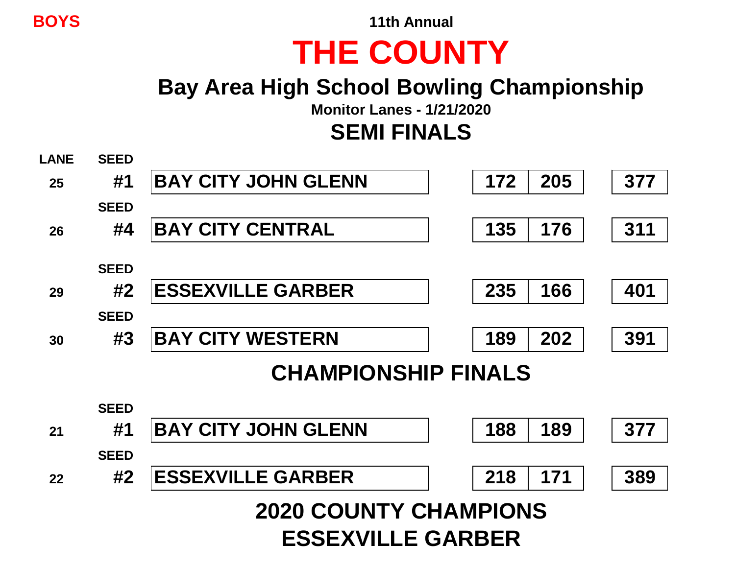**BOYS 11th Annual**

## **THE COUNTY**

## **Bay Area High School Bowling Championship**

**Monitor Lanes - 1/21/2020**

**SEMI FINALS**

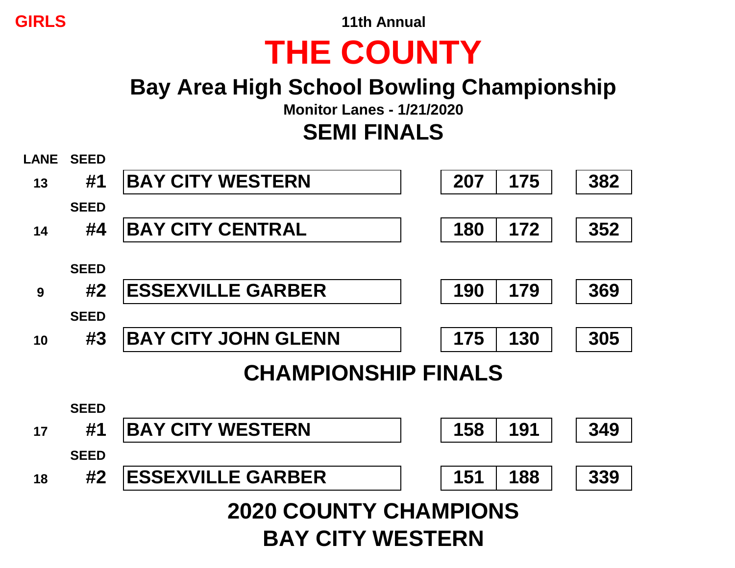**GIRLS 11th Annual**

# **THE COUNTY**

## **Bay Area High School Bowling Championship**

**Monitor Lanes - 1/21/2020**

## **SEMI FINALS**